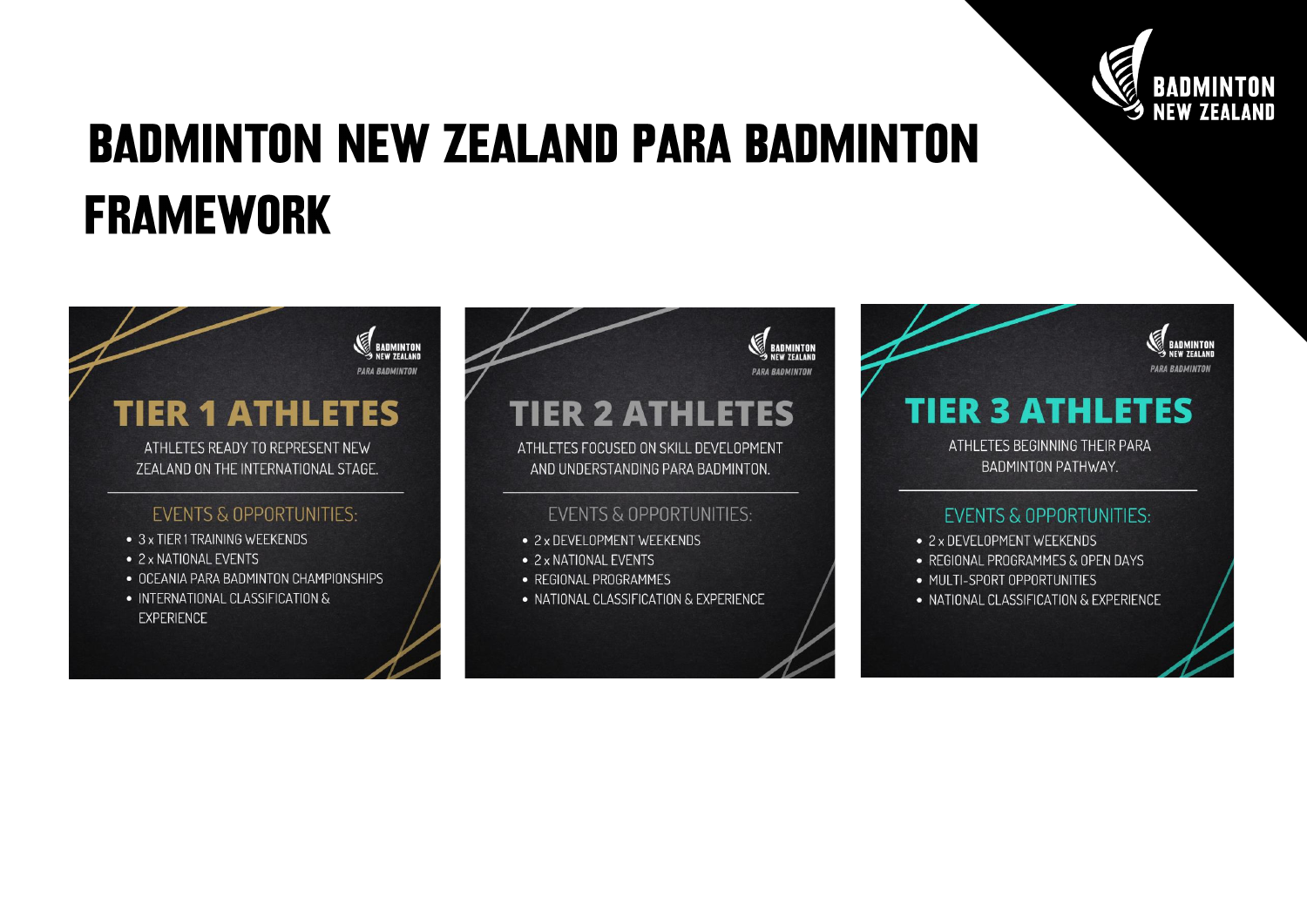

## **BADMINTON NEW ZEALAND PARA BADMINTON FRAMEWORK**





## **TIER 3 ATHLETES**

ATHLETES BEGINNING THEIR PARA **BADMINTON PATHWAY.** 

## **EVENTS & OPPORTUNITIES:**

- 2 x DEVELOPMENT WEEKENDS
- REGIONAL PROGRAMMES & OPEN DAYS
- MULTI-SPORT OPPORTUNITIES
- NATIONAL CLASSIFICATION & EXPERIENCE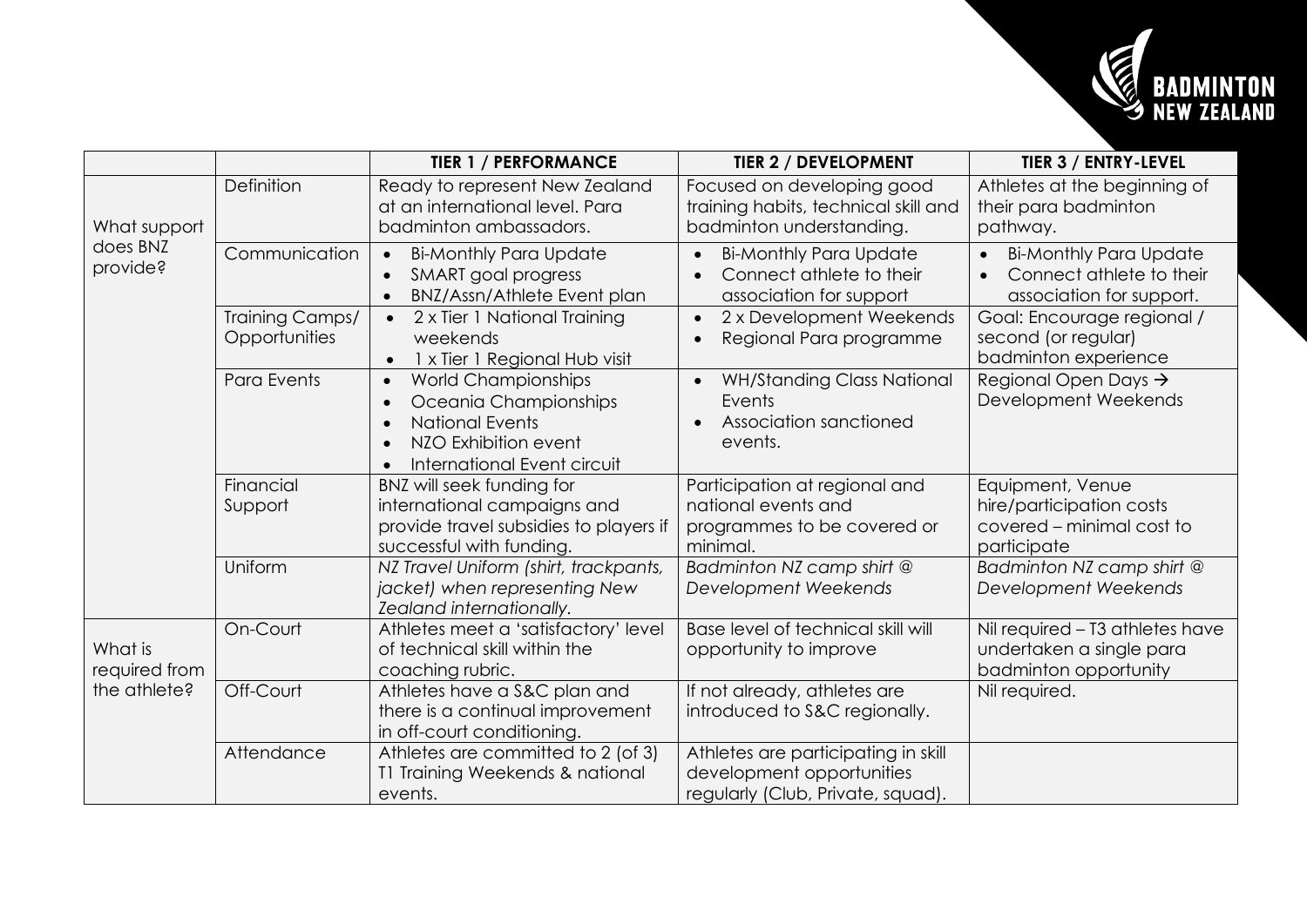

|                                          |                                  | <b>TIER 1 / PERFORMANCE</b>                                                                                                                                                                    | <b>TIER 2 / DEVELOPMENT</b>                                                                           | <b>TIER 3 / ENTRY-LEVEL</b>                                                              |
|------------------------------------------|----------------------------------|------------------------------------------------------------------------------------------------------------------------------------------------------------------------------------------------|-------------------------------------------------------------------------------------------------------|------------------------------------------------------------------------------------------|
| What support<br>does BNZ<br>provide?     | Definition                       | Ready to represent New Zealand<br>at an international level. Para<br>badminton ambassadors.                                                                                                    | Focused on developing good<br>training habits, technical skill and<br>badminton understanding.        | Athletes at the beginning of<br>their para badminton<br>pathway.                         |
|                                          | Communication                    | <b>Bi-Monthly Para Update</b><br>$\bullet$<br>SMART goal progress<br>$\bullet$<br>BNZ/Assn/Athlete Event plan<br>$\bullet$                                                                     | <b>Bi-Monthly Para Update</b><br>$\bullet$<br>Connect athlete to their<br>association for support     | <b>Bi-Monthly Para Update</b><br>Connect athlete to their<br>association for support.    |
|                                          | Training Camps/<br>Opportunities | 2 x Tier 1 National Training<br>weekends<br>1 x Tier 1 Regional Hub visit                                                                                                                      | 2 x Development Weekends<br>Regional Para programme<br>$\bullet$                                      | Goal: Encourage regional /<br>second (or regular)<br>badminton experience                |
|                                          | Para Events                      | World Championships<br>$\bullet$<br>Oceania Championships<br>$\bullet$<br><b>National Events</b><br>$\bullet$<br>NZO Exhibition event<br>$\bullet$<br>International Event circuit<br>$\bullet$ | <b>WH/Standing Class National</b><br>Events<br>Association sanctioned<br>events.                      | Regional Open Days $\rightarrow$<br>Development Weekends                                 |
|                                          | Financial<br>Support             | BNZ will seek funding for<br>international campaigns and<br>provide travel subsidies to players if<br>successful with funding.                                                                 | Participation at regional and<br>national events and<br>programmes to be covered or<br>minimal.       | Equipment, Venue<br>hire/participation costs<br>covered - minimal cost to<br>participate |
|                                          | Uniform                          | NZ Travel Uniform (shirt, trackpants,<br>jacket) when representing New<br>Zealand internationally.                                                                                             | Badminton NZ camp shirt @<br>Development Weekends                                                     | Badminton NZ camp shirt @<br>Development Weekends                                        |
| What is<br>required from<br>the athlete? | On-Court                         | Athletes meet a 'satisfactory' level<br>of technical skill within the<br>coaching rubric.                                                                                                      | Base level of technical skill will<br>opportunity to improve                                          | Nil required - T3 athletes have<br>undertaken a single para<br>badminton opportunity     |
|                                          | Off-Court                        | Athletes have a S&C plan and<br>there is a continual improvement<br>in off-court conditioning.                                                                                                 | If not already, athletes are<br>introduced to S&C regionally.                                         | Nil required.                                                                            |
|                                          | Attendance                       | Athletes are committed to 2 (of 3)<br>T1 Training Weekends & national<br>events.                                                                                                               | Athletes are participating in skill<br>development opportunities<br>regularly (Club, Private, squad). |                                                                                          |